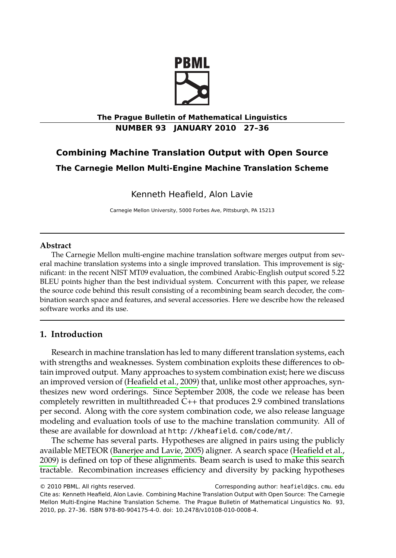

**The Prague Bulletin of Mathematical Linguistics NUMBER 93 JANUARY 2010 27–36**

# **Combining Machine Translation Output with Open Source**

**The Carnegie Mellon Multi-Engine Machine Translation Scheme**

Kenneth Heafield, Alon Lavie

Carnegie Mellon University, 5000 Forbes Ave, Pittsburgh, PA 15213

## **Abstract**

The Carnegie Mellon multi-engine machine translation software merges output from several machine translation systems into a single improved translation. This improvement is significant: in the recent NIST MT09 evaluation, the combined Arabic-English output scored 5.22 BLEU points higher than the best individual system. Concurrent with this paper, we release the source code behind thi[s result consisting of a](#page-8-0) recombining beam search decoder, the combination search space and features, and several accessories. Here we describe how the released software works and its use.

## **1. Introduction**

Research in machine translation has led to many different translation systems, each with strengths and [weaknesses. System comb](#page-8-1)ination exploits these di[fferences to ob](#page-8-0)[tain i](#page-8-0)mproved output. Many approaches to system combination exist; here we discuss an improved version of (Heafield et al., 2009) that, unlike most other approaches, synthesizes new word orderings. Since September 2008, the code we release has been completely rewritten in multithreaded C++ that produces 2.9 combined translations per second. Along with the core system combination code, we also release language modeling and evaluation tools of use to the machine translation community. All of these are available for download at http://kheafield.com/code/mt/.

The scheme has several parts. Hypotheses are aligned in pairs using the publicly available METEOR (Banerjee and Lavie, 2005) aligner. A search space (Heafield et al., 2009) is defined on top of these alignments. Beam search is used to make this search tractable. Recombination increases efficiency and diversity by packing hypotheses

<sup>© 2010</sup> PBML. All rights reserved. Corresponding author: heafield@cs.cmu.edu Cite as: Kenneth Heafield, Alon Lavie. Combining Machine Translation Output with Open Source: The Carnegie Mellon Multi-Engine Machine Translation Scheme. The Prague Bulletin of Mathematical Linguistics No. 93, 2010, pp. 27–36. ISBN 978-80-904175-4-0. doi: 10.2478/v10108-010-0008-4.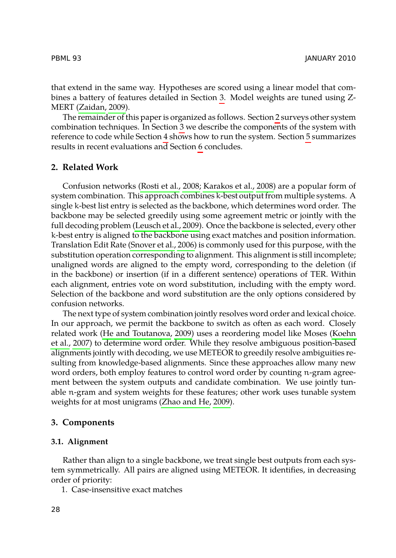PBML 93 JANUARY 2010

that extend in the same way. Hypotheses [are scored usi](#page-8-2)ng a linear model that combines a battery of featur[es detailed in Sec](#page-9-0)tion 3. Model [weigh](#page-8-2)ts are tuned using Z-MERT (Zaidan, 2009).

The remainder of this paper is organized as follows. Section 2 surveys other system combination technique[s. In Section](#page-8-3) 3 we describe the components of the system with reference to code while Section 4 sh[ows ho](#page-8-3)w to run the system. Section 5 summarizes results in recent eval[uations and Section](#page-9-1) 6 concludes.

# **2. Related Work**

Confusion networks (Rosti et al., 2008; Karakos et al., 2008) are a popular form of system combination. This approach combines k-best output from multiple systems. A single k-best list entry is selected as the backbone, which determines word order. The backbone may be selected greedily using some agreement metric or jointly with the full decoding problem (Leusch et al., 2009). Once the backbone is selected, every other k-best entry is aligned to the back[bone u](#page-8-4)sing exact matches and position information. Translation E[dit Rate \(Snover et al](#page-8-4)., 2006) is commonly used for this purpose, [with the](#page-8-5) [substitution](#page-8-5) operation corresponding to alignment. This alignment is still incomplete; unaligned words are aligned to the empty word, corresponding to the deletion (if in the backbone) or insertion (if in a different sentence) operations of TER. Within each alignment, entries vote on word substitution, including with the empty word. Selection of the backbone and word substitution are the only options considered by confusion networks.

The next type of system co[mbination jointly reso](#page-9-2)lves word order and lexical choice. In our approach, we permit the backbone to switch as often as each word. Closely related work (He and Toutanova, 2009) uses a reordering model like Moses (Koehn et al., 2007) to determine word order. While they resolve ambiguous position-based alignments jointly with decoding, we use METEOR to greedily resolve ambiguities resulting from knowledge-based alignments. Since these approaches allow many new word orders, both employ features to control word order by counting n-gram agreement between the system outputs and candidate combination. We use jointly tunable n-gram and system weights for these features; other work uses tunable system weights for at most unigrams (Zhao and He, 2009).

#### **3. Components**

## **3.1. Alignment**

Rather than align to a single backbone, we treat single best outputs from each system symmetrically. All pairs are aligned using METEOR. It identifies, in decreasing order of priority:

1. Case-insensitive exact matches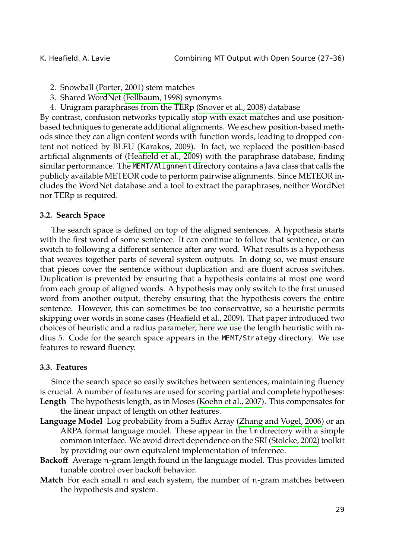- 2. Snowball (Porter, 2001) stem matches
- 3. Shared WordNet (Fellbaum, 1998) synonyms
- 4. Unigram paraphrases from the TERp (Snover et al., 2008) database

<span id="page-2-0"></span>By contrast, confusion networks typically stop with exact matches and use positionbased techniques to generate additional alignments. We eschew position-based methods since they can align content words with function words, leading to dropped content not noticed by BLEU (Karakos, 2009). In fact, we replaced the position-based artificial alignments of (Heafield et al., 2009) with the paraphrase database, finding similar performance. The MEMT/Alignment directory contains a Java class that calls the publicly available METEOR code to perform pairwise alignments. Since METEOR includes the WordNet database and a tool to extract the paraphrases, neither WordNet nor TERp is required.

#### **3.2. Search Space**

The search space is defined on [top of the aligned se](#page-8-0)ntences. A hypothesis starts with the first word of some sentence. It can continue to follow that sentence, or can switch to following a different sentence after any word. What results is a hypothesis that weaves together parts of several system outputs. In doing so, we must ensure that pieces cover the sentence without duplication and are fluent across switches. Duplication is prevented by ensuring that a hypothesis contains at most one word from each group of aligned words. A hypothesis may only switch to the first unused word from another output, thereby ensuring that the hypothesis covers the entire sentence. However, this can sometimes be [too conservative,](#page-8-5) so a heuristic permits skipping over words in some cases (Heafield et al., 2009). That paper introduced two choices of heuristic and a radius parameter; here we us[e the length heuristic w](#page-9-3)ith radius 5. Code for the search space appears in the MEMT/Strategy [directory.](#page-9-4) We use features to reward fluency.

### **3.3. Features**

Since the search space so easily switches between sentences, maintaining fluency is crucial. A number of features are used for scoring partial and complete hypotheses: **Length** The hypothesis length, as in Moses (Koehn et al., 2007). This compensates for

the linear impact of length on other features.

- **Language Model** Log probability from a Suffix Array (Zhang and Vogel, 2006) or an ARPA format language model. These appear in the lm directory with a simple common interface. We avoid direct dependence on the SRI (Stolcke, 2002) toolkit by providing our own equivalent implementation of inference.
- **Backoff** Average n-gram length found in the language model. This provides limited tunable control over backoff behavior.
- **Match** For each small n and each system, the number of n-gram matches between the hypothesis and system.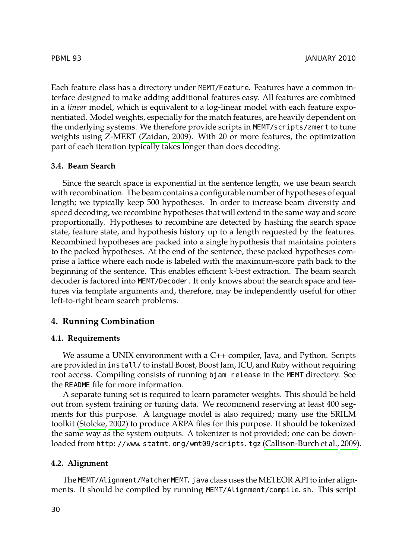PBML 93 JANUARY 2010

Each feature class has a directory under MEMT/Feature. Features have a common interface designed to make adding additional features easy. All features are combined in a *linear* model, which is equivalent to a log-linear model with each feature exponentiated. Model weights, especially for the match features, are heavily dependent on the underlying systems. We therefore provide scripts in MEMT/scripts/zmert to tune weights using Z-MERT (Zaidan, 2009). With 20 or more features, the optimization part of each iteration typically takes longer than does decoding.

#### **3.4. Beam Search**

Since the search space is exponential in the sentence length, we use beam search with recombination. The beam contains a configurable number of hypotheses of equal length; we typically keep 500 hypotheses. In order to increase beam diversity and speed decoding, we recombine hypotheses that will extend in the same way and score proportionally. Hypotheses to recombine are detected by hashing the search space state, feature state, and hypothesis history up to a length requested by the features. Recombined hypotheses are packed into a single hypothesis that maintains pointers to the packed hypotheses. At the end of the sentence, these packed hypotheses comprise a lattice where each node is labeled with the maximum-score path back to the beginning of the sentence. This enables efficient k-best extraction. The beam search decoder is factored into MEMT/Decoder. It only knows about the search space and features via template arguments and, therefore, may be independently useful for other left-to-right beam search problems.

#### **4. Running Combination**

#### **4.1. Re[quirements](#page-9-4)**

<span id="page-3-0"></span>We assume a UNIX environment with a C++ compiler, [Java, and Python. Scripts](#page-8-7) are provided in install/ to install Boost, Boost Jam, ICU, and Ruby without requiring root access. Compiling consists of running bjam release in the MEMT directory. See the README file for more information.

A separate tuning set is required to learn parameter weights. This should be held out from system training or tuning data. We recommend reserving at least 400 segments for this purpose. A language model is also required; many use the SRILM toolkit (Stolcke, 2002) to produce ARPA files for this purpose. It should be tokenized the same way as the system outputs. A tokenizer is not provided; one can be downloaded from http://www.statmt.org/wmt09/scripts.tgz (Callison-Burch et al., 2009).

#### **4.2. Alignment**

The MEMT/Alignment/MatcherMEMT. java class uses the METEOR API to infer alignments. It should be compiled by running MEMT/Alignment/compile.sh. This script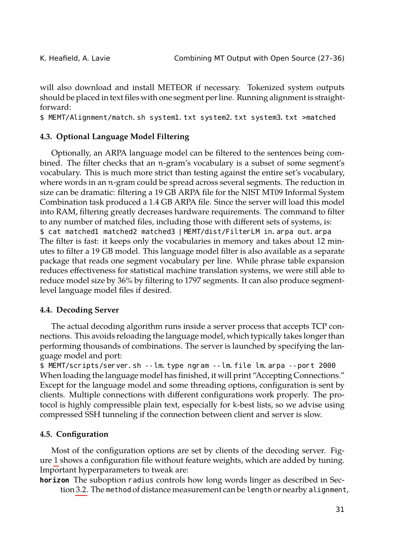will also download and install METEOR if necessary. Tokenized system outputs should be placed in text files with one segment per line. Running alignment is straightforward:

\$ MEMT/Alignment/match.sh system1.txt system2.txt system3.txt >matched

#### **4.3. Optional Language Model Filtering**

Optionally, an ARPA language model can be filtered to the sentences being combined. The filter checks that an n-gram's vocabulary is a subset of some segment's vocabulary. This is much more strict than testing against the entire set's vocabulary, where words in an n-gram could be spread across several segments. The reduction in size can be dramatic: filtering a 19 GB ARPA file for the NIST MT09 Informal System Combination task produced a 1.4 GB ARPA file. Since the server will load this model into RAM, filtering greatly decreases hardware requirements. The command to filter to any number of matched files, including those with different sets of systems, is: \$ cat matched1 matched2 matched3 |MEMT/dist/FilterLM in.arpa out.arpa The filter is fast: it keeps only the vocabularies in memory and takes about 12 minutes to filter a 19 GB model. This language model filter is also available as a separate package that reads one segment vocabulary per line. While phrase table expansion reduces effectiveness for statistical machine translation systems, we were still able to reduce model size by 36% by filtering to 1797 segments. It can also produce segmentlevel language model files if desired.

#### **4.4. Decoding Server**

<span id="page-4-0"></span>The actual decoding algorithm runs inside a server process that accepts TCP connections. This avoids reloading the language model, which typically takes longer than performing thousands of combinations. The server is launched by specifying the language model and port:

\$ M[EM](#page-6-0)T/scripts/server.sh --lm.type ngram --lm.file lm.arpa --port 2000 When loading the language model has finished, it will print "Accepting Connections." Except for the language model and some threading options, configuration is sent by clients. [Multi](#page-2-0)ple connections with different configurations work properly. The protocol is highly compressible plain text, especially for k-best lists, so we advise using compressed SSH tunneling if the connection between client and server is slow.

#### **4.5. Configuration**

Most of the configuration options are set by clients of the decoding server. Figure 1 shows a configuration file without feature weights, which are added by tuning. Important hyperparameters to tweak are:

**horizon** The suboption radius controls how long words linger as described in Section 3.2. The method of distance measurement can be length or nearby alignment,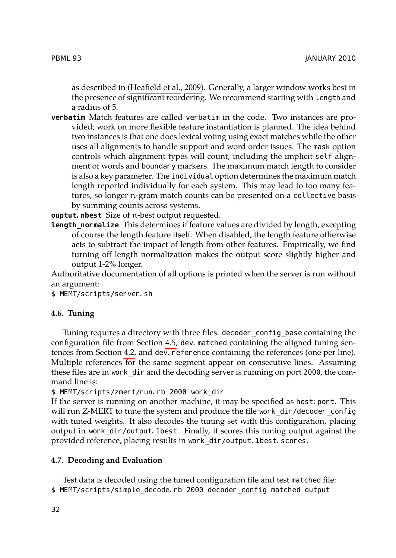PBML 93 JANUARY 2010

as described in (Heafield et al., 2009). Generally, a larger window works best in the presence of significant reordering. We recommend starting with length and a radius of 5.

**verbatim** Match features are called verbatim in the code. Two instances are provided; work on more flexible feature instantiation is planned. The idea behind two instances is that one does lexical voting using exact matches while the other uses all alignments to handle support and word order issues. The mask option controls which alignment types will count, including the implicit self alignment of words and boundary markers. The maximum match length to consider is also a key parameter. The individual option determines the maximum match length reported individually for each system. This may lead to too many features, so longer n-gram match counts can be presented on a collective basis by summing counts across systems.

**ouptut. nbest** Size of n-best output requested.

**Length normalize** This determines if feature values are divided by length, excepting of course the length feature itself. When disabled, the length feature otherwise acts to subtract the impact of length from other features. Empirically, we find turning off length norm[aliza](#page-4-0)tion makes the output score slightly higher and output 1-2% l[onge](#page-3-0)r.

Authoritative documentation of all options is printed when the server is run without an argument:

\$ MEMT/scripts/server.sh

## **4.6. Tuning**

Tuning requires a directory with three files: decoder\_config\_base containing the configuration file from Section 4.5, dev. matched containing the aligned tuning sentences from Section 4.2, and dev. reference containing the references (one per line). Multiple references for the same segment appear on consecutive lines. Assuming these files are in work\_dir and the decoding server is running on port 2000, the command line is:

\$ MEMT/scripts/zmert/run.rb 2000 work\_dir

If the server is running on another machine, it may be specified as host: port. This will run Z-MERT to tune the system and produce the file work\_dir/decoder\_config with tuned weights. It also decodes the tuning set with this configuration, placing output in work\_dir/output.1best. Finally, it scores this tuning output against the provided reference, placing results in work\_dir/output. 1best. scores.

#### **4.7. Decoding and Evaluation**

Test data is decoded using the tuned configuration file and test matched file: \$ MEMT/scripts/simple\_decode.rb 2000 decoder\_config matched output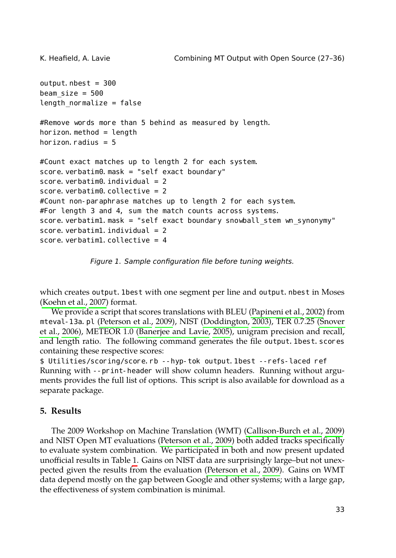```
output. nbest = 300beam size = 500length normalize = false#Remove words more than 5 behind as measured by length.
horizon. method = length
horizon. radius = 5#Count exact matches up to length 2 for each system.
score. verbatim0. mask = "self exact boundary"
score. verbatim\theta. individual = 2
score. verbatim0. collective = 2
#Count non-paraphrase matches up to length 2 for each system.
#For length 3 and 4, sum the match counts across systems.
ndary snowball_stem wn_synonymy"
score. verbatim1. individual = 2score. verbatim1. ive = 4
```
<span id="page-6-0"></span>*Figure 1. Sample configuration file before tuning weights.*

which creates output. 1best with one segment per line and output. nbest in Moses (Koehn et al., 2007) format.

We provide a script that scores translations with BLEU (Papineni et al., 2002) from mteval-13a.pl (Peterson et al., 2009), NIST (Doddington, 2003), TER 0.7.25 (Snover et al., 2006), METEOR 1.0 (Banerjee and Lavie, 2005), unigram precision and recall, and length ratio. The following [command generates](#page-8-9) the file output. 1best. scores containing these respective scores:

\$ Utilities/scoring/score.rb --hyp-tok output.1best --refs-laced ref Running with --print-h[ea](#page-7-0)der will show column headers. Running without arguments provides the full list of options. This sc[ript is also available f](#page-8-9)or download as a separate package.

# **5. Results**

The 2009 Workshop on Machine Translation (WMT) (Callison-Burch et al., 2009) and NIST Open MT evaluations (Peterson et al., 2009) both added tracks specifically to evaluate system combination. We participated in both and now present updated unofficial results in Table 1. Gains on NIST data are surprisingly large–but not unexpected given the results from the evaluation (Peterson et al., 2009). Gains on WMT data depend mostly on the gap between Google and other systems; with a large gap, the effectiveness of system combination is minimal.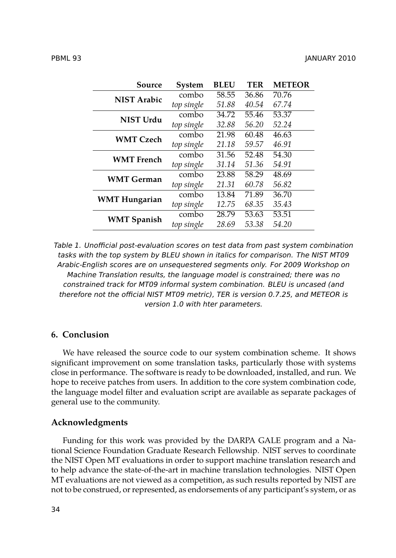| Source               | <b>System</b> | <b>BLEU</b> | <b>TER</b> | <b>METEOR</b> |
|----------------------|---------------|-------------|------------|---------------|
| <b>NIST Arabic</b>   | combo         | 58.55       | 36.86      | 70.76         |
|                      | top single    | 51.88       | 40.54      | 67.74         |
| NIST Urdu            | combo         | 34.72       | 55.46      | 53.37         |
|                      | top single    | 32.88       | 56.20      | 52.24         |
| <b>WMT Czech</b>     | combo         | 21.98       | 60.48      | 46.63         |
|                      | top single    | 21.18       | 59.57      | 46.91         |
| <b>WMT</b> French    | combo         | 31.56       | 52.48      | 54.30         |
|                      | top single    | 31.14       | 51.36      | 54.91         |
| <b>WMT German</b>    | combo         | 23.88       | 58.29      | 48.69         |
|                      | top single    | 21.31       | 60.78      | 56.82         |
| <b>WMT Hungarian</b> | combo         | 13.84       | 71.89      | 36.70         |
|                      | top single    | 12.75       | 68.35      | 35.43         |
| <b>WMT Spanish</b>   | combo         | 28.79       | 53.63      | 53.51         |
|                      | top single    | 28.69       | 53.38      | 54.20         |

<span id="page-7-0"></span>*Table 1. Unofficial post-evaluation scores on test data from past system combination tasks with the top system by BLEU shown in italics for comparison. The NIST MT09 Arabic-English scores are on unsequestered segments only. For 2009 Workshop on Machine Translation results, the language model is constrained; there was no constrained track for MT09 informal system combination. BLEU is uncased (and therefore not the official NIST MT09 metric), TER is version 0.7.25, and METEOR is version 1.0 with hter parameters.*

# **6. Conclusion**

We have released the source code to our system combination scheme. It shows significant improvement on some translation tasks, particularly those with systems close in performance. The software is ready to be downloaded, installed, and run. We hope to receive patches from users. In addition to the core system combination code, the language model filter and evaluation script are available as separate packages of general use to the community.

#### **Acknowledgments**

Funding for this work was provided by the DARPA GALE program and a National Science Foundation Graduate Research Fellowship. NIST serves to coordinate the NIST Open MT evaluations in order to support machine translation research and to help advance the state-of-the-art in machine translation technologies. NIST Open MT evaluations are not viewed as a competition, as such results reported by NIST are not to be construed, or represented, as endorsements of any participant's system, or as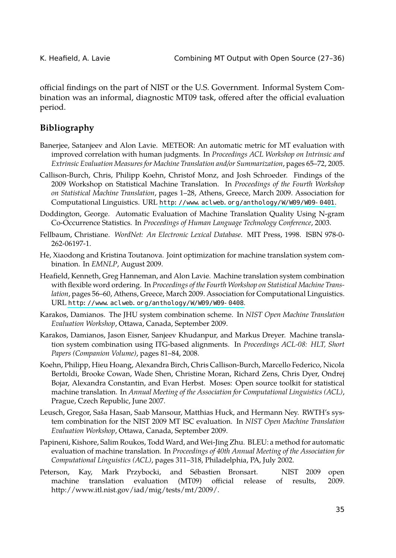<span id="page-8-1"></span>

<span id="page-8-7"></span>official findings on the part of NIST or the U.S. Government. Informal System Combination was an informal, diagnostic MT09 task, offered after the official evaluation period.

## <span id="page-8-10"></span>**Bibliography**

- Banerjee, Satanjeev and Alon Lavie. METEOR: An automatic metric for MT evaluation with improved correlation with human judgments. In *Proceedings ACL Workshop on Intrinsic and Extrinsic Evaluation Measures for Machine Translation and/or Summarization*, pages 65–72, 2005.
- <span id="page-8-4"></span><span id="page-8-0"></span>Callison-Burch, Chris, Philipp Koehn, Christof Monz, and Josh Schroeder. Findings of the 2009 Workshop on Statistical Machine Translation. In *Proceedings of the Fourth Workshop on Statistical Machine Translation*, pages 1–28, Athens, Greece, March 2009. Association for Computational Linguistics. URL http://www.aclweb.org/anthology/W/W09/W09-0401.
- <span id="page-8-6"></span>Doddin[gton, George. Automatic Evaluation of Machine Tran](http://www.aclweb.org/anthology/W/W09/W09-0408)slation Quality Using N-gram Co-Occurrence Statistics. In *Proceedings of Human Language Technology Conference*, 2003.
- <span id="page-8-2"></span>Fellbaum, Christiane. *WordNet: An Electronic Lexical Database*. MIT Press, 1998. ISBN 978-0- 262-06197-1.
- He, Xiaodong and Kristina Toutanova. Joint optimization for machine translation system combination. In *EMNLP*, August 2009.
- <span id="page-8-5"></span>Heafield, Kenneth, Greg Hanneman, and Alon Lavie. Machine translation system combination with flexible word ordering. In *Proceedings of the Fourth Workshop on Statistical Machine Translation*, pages 56–60, Athens, Greece, March 2009. Association for Computational Linguistics. URL http://www.aclweb.org/anthology/W/W09/W09-0408.
- <span id="page-8-3"></span>Karakos, Damianos. The JHU system combination scheme. In *NIST Open Machine Translation Evaluation Workshop*, Ottawa, Canada, September 2009.
- <span id="page-8-8"></span>Karakos, Damianos, Jason Eisner, Sanjeev Khudanpur, and Markus Dreyer. Machine translation system combination using ITG-based alignments. In *Proceedings ACL-08: HLT, Short Papers (Companion Volume)*, pages 81–84, 2008.
- <span id="page-8-9"></span>Koehn, Philipp, Hieu Hoang, Alexandra Birch, Chris Callison-Burch, Marcello Federico, Nicola Bertoldi, Brooke Cowan, Wade Shen, Christine Moran, Richard Zens, Chris Dyer, Ondrej Bojar, Alexandra Constantin, and Evan Herbst. Moses: Open source toolkit for statistical machine translation. In *Annual Meeting of the Association for Computational Linguistics (ACL)*, Prague, Czech Republic, June 2007.
- Leusch, Gregor, Saša Hasan, Saab Mansour, Matthias Huck, and Hermann Ney. RWTH's system combination for the NIST 2009 MT ISC evaluation. In *NIST Open Machine Translation Evaluation Workshop*, Ottawa, Canada, September 2009.
- Papineni, Kishore, Salim Roukos, Todd Ward, and Wei-Jing Zhu. BLEU: a method for automatic evaluation of machine translation. In *Proceedings of 40th Annual Meeting of the Association for Computational Linguistics (ACL)*, pages 311–318, Philadelphia, PA, July 2002.
- Peterson, Kay, Mark Przybocki, and Sébastien Bronsart. NIST 2009 open machine translation evaluation (MT09) official release of results, 2009. http://www.itl.nist.gov/iad/mig/tests/mt/2009/.